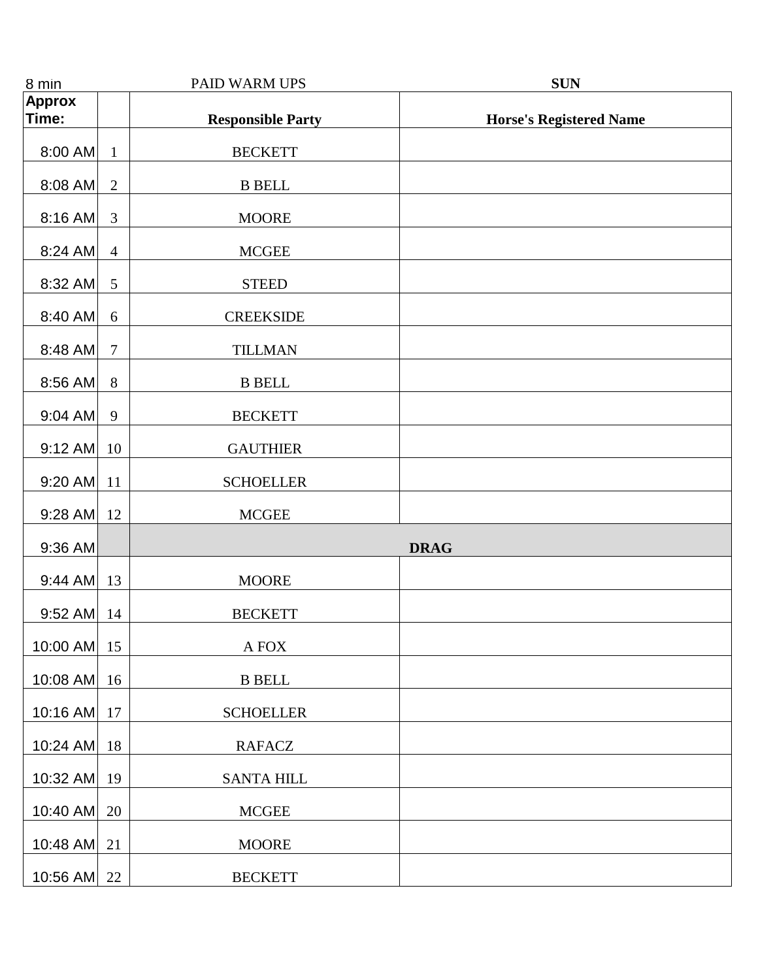| 8 min          |                | PAID WARM UPS            | <b>SUN</b>                     |
|----------------|----------------|--------------------------|--------------------------------|
| <b>Approx</b>  |                |                          |                                |
| Time:          |                | <b>Responsible Party</b> | <b>Horse's Registered Name</b> |
| 8:00 AM        | $\mathbf{1}$   | <b>BECKETT</b>           |                                |
| $8:08$ AM      | $\overline{2}$ | <b>B</b> BELL            |                                |
| $8:16$ AM      | 3              | <b>MOORE</b>             |                                |
| $8:24$ AM      | $\overline{4}$ | <b>MCGEE</b>             |                                |
| 8:32 AM        | 5              | <b>STEED</b>             |                                |
| 8:40 AM        | 6              | <b>CREEKSIDE</b>         |                                |
| 8:48 AM        | $\overline{7}$ | <b>TILLMAN</b>           |                                |
| $8:56$ AM      | 8              | <b>B BELL</b>            |                                |
| $9:04$ AM      | 9              | <b>BECKETT</b>           |                                |
| $9:12$ AM      | 10             | <b>GAUTHIER</b>          |                                |
| 9:20 AM        | 11             | <b>SCHOELLER</b>         |                                |
| 9:28 AM        | 12             | <b>MCGEE</b>             |                                |
| $9:36$ AM      |                |                          | <b>DRAG</b>                    |
| $9:44$ AM $13$ |                | <b>MOORE</b>             |                                |
| $9:52$ AM      | 14             | <b>BECKETT</b>           |                                |
| 10:00 AM       | 15             | A FOX                    |                                |
| 10:08 AM       | 16             | <b>B</b> BELL            |                                |
| 10:16 AM       | 17             | <b>SCHOELLER</b>         |                                |
| 10:24 AM       | 18             | <b>RAFACZ</b>            |                                |
| 10:32 AM       | 19             | <b>SANTA HILL</b>        |                                |
| 10:40 AM       | 20             | <b>MCGEE</b>             |                                |
| 10:48 AM       | 21             | <b>MOORE</b>             |                                |
| 10:56 AM 22    |                | <b>BECKETT</b>           |                                |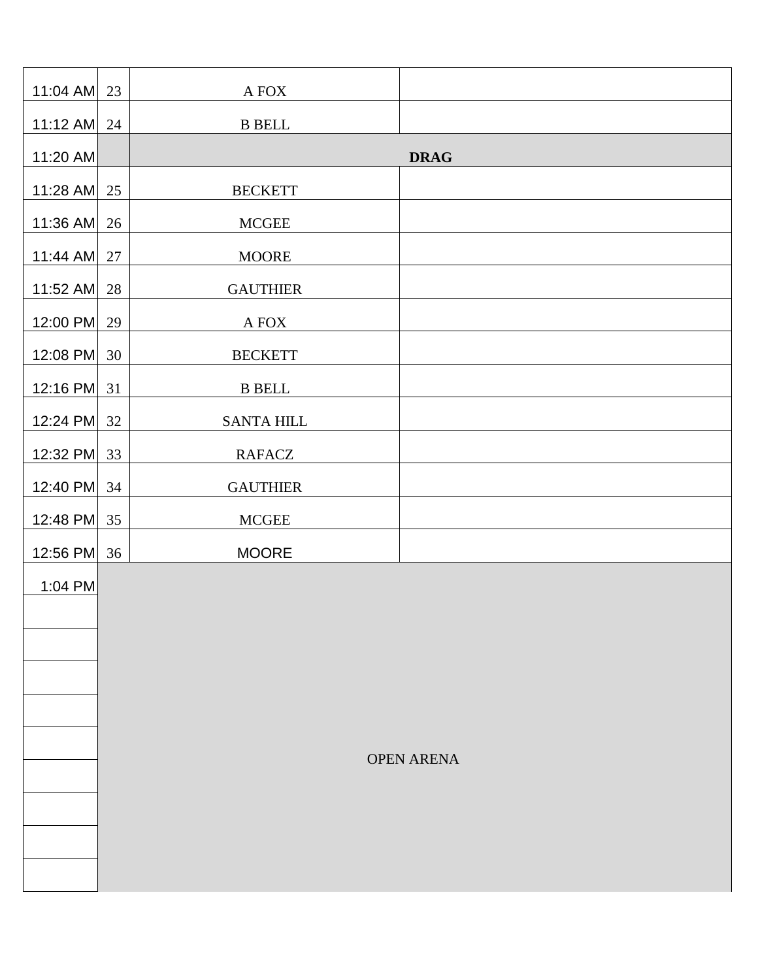| 11:04 AM   | 23                | A FOX             |             |  |  |
|------------|-------------------|-------------------|-------------|--|--|
| $11:12$ AM | 24                | <b>B</b> BELL     |             |  |  |
| 11:20 AM   |                   |                   | <b>DRAG</b> |  |  |
| 11:28 AM   | 25                | <b>BECKETT</b>    |             |  |  |
| 11:36 AM   | 26                | <b>MCGEE</b>      |             |  |  |
| 11:44 AM   | 27                | <b>MOORE</b>      |             |  |  |
| 11:52 AM   | 28                | <b>GAUTHIER</b>   |             |  |  |
| 12:00 PM   | 29                | $\mathbf A$ FOX   |             |  |  |
| 12:08 PM   | 30                | <b>BECKETT</b>    |             |  |  |
| 12:16 PM   | 31                | <b>B</b> BELL     |             |  |  |
| 12:24 PM   | 32                | <b>SANTA HILL</b> |             |  |  |
| 12:32 PM   | 33                | RAFACZ            |             |  |  |
| 12:40 PM   | 34                | <b>GAUTHIER</b>   |             |  |  |
| 12:48 PM   | 35                | $\sf{MCGEE}$      |             |  |  |
| 12:56 PM   | 36                | <b>MOORE</b>      |             |  |  |
| 1:04 PM    |                   |                   |             |  |  |
|            |                   |                   |             |  |  |
|            |                   |                   |             |  |  |
|            |                   |                   |             |  |  |
|            |                   |                   |             |  |  |
|            | <b>OPEN ARENA</b> |                   |             |  |  |
|            |                   |                   |             |  |  |
|            |                   |                   |             |  |  |
|            |                   |                   |             |  |  |
|            |                   |                   |             |  |  |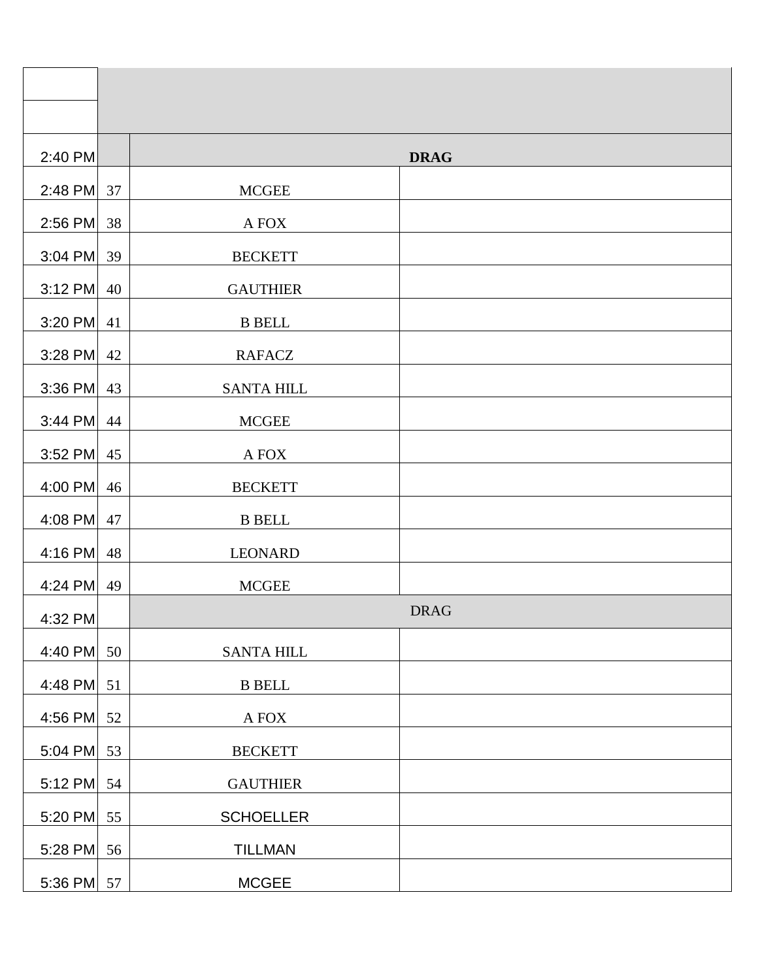| 2:40 PM      |    |                   | <b>DRAG</b> |
|--------------|----|-------------------|-------------|
| 2:48 PM      | 37 | <b>MCGEE</b>      |             |
| $2:56$ PM    | 38 | A FOX             |             |
| $3:04$ PM    | 39 | <b>BECKETT</b>    |             |
| $3:12$ PM    | 40 | <b>GAUTHIER</b>   |             |
| $3:20$ PM    | 41 | <b>B</b> BELL     |             |
| $3:28$ PM    | 42 | <b>RAFACZ</b>     |             |
| $3:36$ PM    | 43 | <b>SANTA HILL</b> |             |
| $3:44$ PM    | 44 | <b>MCGEE</b>      |             |
| $3:52$ PM    | 45 | A FOX             |             |
| 4:00 PM      | 46 | <b>BECKETT</b>    |             |
| 4:08 PM      | 47 | <b>B</b> BELL     |             |
| 4:16 PM      | 48 | <b>LEONARD</b>    |             |
| 4:24 PM      | 49 | <b>MCGEE</b>      |             |
| 4:32 PM      |    |                   | <b>DRAG</b> |
| 4:40 PM      | 50 | <b>SANTA HILL</b> |             |
| 4:48 PM      | 51 | $\,$ B BELL       |             |
| 4:56 PM      | 52 | A FOX             |             |
| 5:04 PM      | 53 | <b>BECKETT</b>    |             |
| 5:12 PM      | 54 | <b>GAUTHIER</b>   |             |
| 5:20 PM      | 55 | <b>SCHOELLER</b>  |             |
| 5:28 PM      | 56 | <b>TILLMAN</b>    |             |
| 5:36 PM $57$ |    | <b>MCGEE</b>      |             |